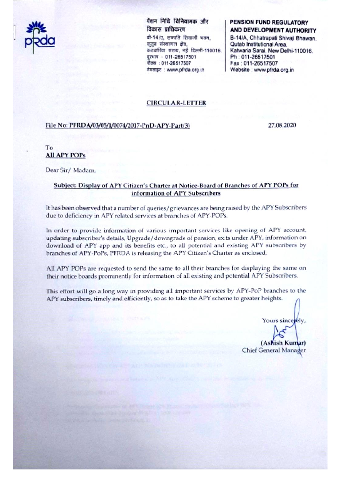

पैशन निधि विनियामक और विकास प्राधिकरण बी-14/ए. छत्रपति शिवाजी भवन. कतब संस्थागत क्षेत्र. कटवारिया सराय, नई दिल्ली-110016. दुरभाष : 011-26517501 फीक्श : 011-26517507 वेबसाइट : www.pfrda.org.in

# **PENSION FUND REGULATORY** AND DEVELOPMENT AUTHORITY

B-14/A, Chhatrapati Shivaji Bhawan. Qutab Institutional Area. Katwaria Sarai, New Delhi-110016. Ph: 011-26517501 Fax: 011-26517507 Website : www.pfrda.org.in

## **CIRCULAR-LETTER**

### File No: PFRDA/03/05/1/0074/2017-PnD-APY-Part(3)

27.08.2020

To **All APY POPs** 

Dear Sir/Madam,

# Subject: Display of APY Citizen's Charter at Notice-Board of Branches of APY POPs for information of APY Subscribers

It has been observed that a number of queries/grievances are being raised by the APY Subscribers due to deficiency in APY related services at branches of APY-POPs.

In order to provide information of various important services like opening of APY account, updating subscriber's details, Upgrade/downgrade of pension, exits under APY, information on download of APY app and its benefits etc., to all potential and existing APY subscribers by branches of APY-PoPs, PFRDA is releasing the APY Citizen's Charter as enclosed.

All APY POPs are requested to send the same to all their branches for displaying the same on their notice boards prominently for information of all existing and potential APY Subscribers.

This effort will go a long way in providing all important services by APY-PoP branches to the APY subscribers, timely and efficiently, so as to take the APY scheme to greater heights.

Yours sincerely.

(Ashish Kumar) Chief General Manager